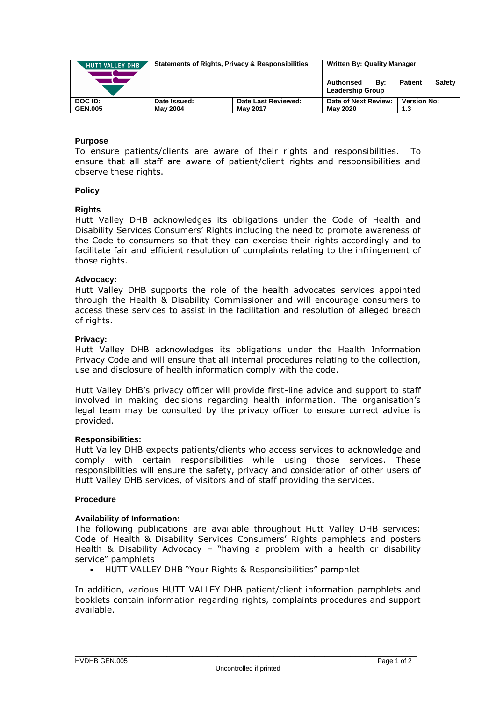| <b>HUTT VALLEY DHB</b> | <b>Statements of Rights, Privacy &amp; Responsibilities</b> |                     | <b>Written By: Quality Manager</b>           |                          |
|------------------------|-------------------------------------------------------------|---------------------|----------------------------------------------|--------------------------|
|                        |                                                             |                     | Authorised<br>Bv:<br><b>Leadership Group</b> | Safety<br><b>Patient</b> |
| DOC ID:                | Date Issued:                                                | Date Last Reviewed: | Date of Next Review:                         | <b>Version No:</b>       |
| <b>GEN.005</b>         | <b>May 2004</b>                                             | <b>May 2017</b>     | <b>May 2020</b>                              | 1.3                      |

# **Purpose**

To ensure patients/clients are aware of their rights and responsibilities. To ensure that all staff are aware of patient/client rights and responsibilities and observe these rights.

## **Policy**

## **Rights**

Hutt Valley DHB acknowledges its obligations under the Code of Health and Disability Services Consumers' Rights including the need to promote awareness of the Code to consumers so that they can exercise their rights accordingly and to facilitate fair and efficient resolution of complaints relating to the infringement of those rights.

## **Advocacy:**

Hutt Valley DHB supports the role of the health advocates services appointed through the Health & Disability Commissioner and will encourage consumers to access these services to assist in the facilitation and resolution of alleged breach of rights.

#### **Privacy:**

Hutt Valley DHB acknowledges its obligations under the Health Information Privacy Code and will ensure that all internal procedures relating to the collection, use and disclosure of health information comply with the code.

Hutt Valley DHB's privacy officer will provide first-line advice and support to staff involved in making decisions regarding health information. The organisation's legal team may be consulted by the privacy officer to ensure correct advice is provided.

#### **Responsibilities:**

Hutt Valley DHB expects patients/clients who access services to acknowledge and comply with certain responsibilities while using those services. These responsibilities will ensure the safety, privacy and consideration of other users of Hutt Valley DHB services, of visitors and of staff providing the services.

#### **Procedure**

# **Availability of Information:**

The following publications are available throughout Hutt Valley DHB services: Code of Health & Disability Services Consumers' Rights pamphlets and posters Health & Disability Advocacy – "having a problem with a health or disability service" pamphlets

HUTT VALLEY DHB "Your Rights & Responsibilities" pamphlet

In addition, various HUTT VALLEY DHB patient/client information pamphlets and booklets contain information regarding rights, complaints procedures and support available.